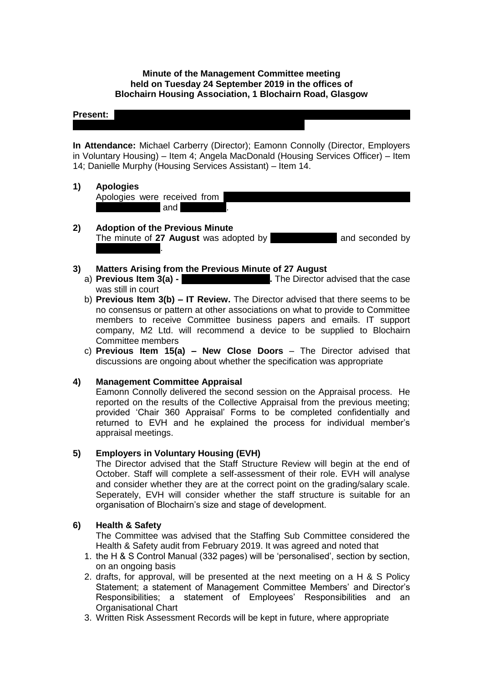## **Minute of the Management Committee meeting held on Tuesday 24 September 2019 in the offices of Blochairn Housing Association, 1 Blochairn Road, Glasgow**

## **Present:**

**In Attendance:** Michael Carberry (Director); Eamonn Connolly (Director, Employers in Voluntary Housing) – Item 4; Angela MacDonald (Housing Services Officer) – Item 14; Danielle Murphy (Housing Services Assistant) – Item 14.

## **1) Apologies**

Apologies were received from and **Example** 

**2) Adoption of the Previous Minute**  The minute of 27 August was adopted by **Olympian and seconded by** and seconded by **Michelle Moore**.

## **3) Matters Arising from the Previous Minute of 27 August**

- a) **Previous Item 3(a) - 28 Dunno 20 August 20 Dunnom Constrainers** 2. The Director advised that the case was still in court
- b) **Previous Item 3(b) – IT Review.** The Director advised that there seems to be no consensus or pattern at other associations on what to provide to Committee members to receive Committee business papers and emails. IT support company, M2 Ltd. will recommend a device to be supplied to Blochairn Committee members
- c) **Previous Item 15(a) – New Close Doors** The Director advised that discussions are ongoing about whether the specification was appropriate

# **4) Management Committee Appraisal**

Eamonn Connolly delivered the second session on the Appraisal process. He reported on the results of the Collective Appraisal from the previous meeting; provided 'Chair 360 Appraisal' Forms to be completed confidentially and returned to EVH and he explained the process for individual member's appraisal meetings.

### **5) Employers in Voluntary Housing (EVH)**

The Director advised that the Staff Structure Review will begin at the end of October. Staff will complete a self-assessment of their role. EVH will analyse and consider whether they are at the correct point on the grading/salary scale. Seperately, EVH will consider whether the staff structure is suitable for an organisation of Blochairn's size and stage of development.

### **6) Health & Safety**

The Committee was advised that the Staffing Sub Committee considered the Health & Safety audit from February 2019. It was agreed and noted that

- 1. the H & S Control Manual (332 pages) will be 'personalised', section by section, on an ongoing basis
- 2. drafts, for approval, will be presented at the next meeting on a H & S Policy Statement; a statement of Management Committee Members' and Director's Responsibilities; a statement of Employees' Responsibilities and an Organisational Chart
- 3. Written Risk Assessment Records will be kept in future, where appropriate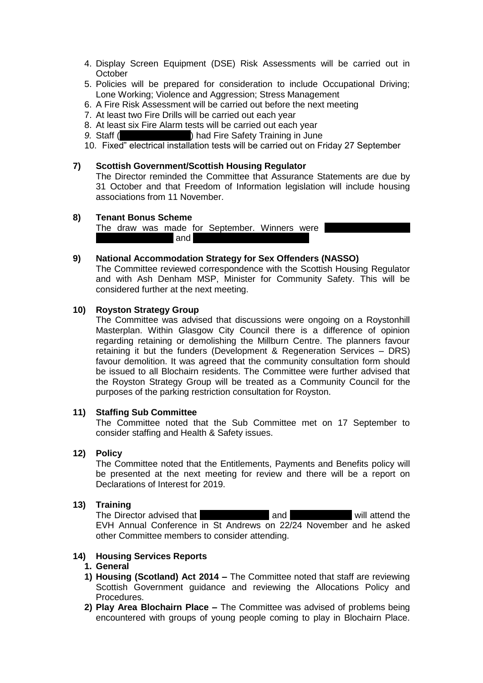- 4. Display Screen Equipment (DSE) Risk Assessments will be carried out in **October**
- 5. Policies will be prepared for consideration to include Occupational Driving; Lone Working; Violence and Aggression; Stress Management
- 6. A Fire Risk Assessment will be carried out before the next meeting
- 7. At least two Fire Drills will be carried out each year
- 8. At least six Fire Alarm tests will be carried out each year
- 9. Staff (Angles & Daniel Black branch and Fire Safety Training in June
- 10. Fixed" electrical installation tests will be carried out on Friday 27 September

## **7) Scottish Government/Scottish Housing Regulator**

The Director reminded the Committee that Assurance Statements are due by 31 October and that Freedom of Information legislation will include housing associations from 11 November.

#### **8) Tenant Bonus Scheme**

The draw was made for September. Winners were and  $\overline{\phantom{a}}$ 

## **9) National Accommodation Strategy for Sex Offenders (NASSO)**

The Committee reviewed correspondence with the Scottish Housing Regulator and with Ash Denham MSP, Minister for Community Safety. This will be considered further at the next meeting.

### **10) Royston Strategy Group**

The Committee was advised that discussions were ongoing on a Roystonhill Masterplan. Within Glasgow City Council there is a difference of opinion regarding retaining or demolishing the Millburn Centre. The planners favour retaining it but the funders (Development & Regeneration Services – DRS) favour demolition. It was agreed that the community consultation form should be issued to all Blochairn residents. The Committee were further advised that the Royston Strategy Group will be treated as a Community Council for the purposes of the parking restriction consultation for Royston.

### **11) Staffing Sub Committee**

The Committee noted that the Sub Committee met on 17 September to consider staffing and Health & Safety issues.

### **12) Policy**

The Committee noted that the Entitlements, Payments and Benefits policy will be presented at the next meeting for review and there will be a report on Declarations of Interest for 2019.

## **13) Training**

The Director advised that Lazarous Chief and Lazarous Chief Will attend the EVH Annual Conference in St Andrews on 22/24 November and he asked other Committee members to consider attending.

## **14) Housing Services Reports**

## **1. General**

- **1) Housing (Scotland) Act 2014 –** The Committee noted that staff are reviewing Scottish Government guidance and reviewing the Allocations Policy and Procedures.
- **2) Play Area Blochairn Place –** The Committee was advised of problems being encountered with groups of young people coming to play in Blochairn Place.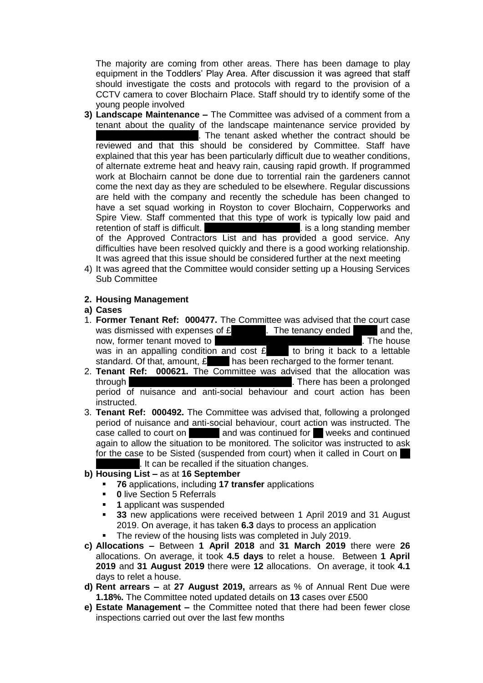The majority are coming from other areas. There has been damage to play equipment in the Toddlers' Play Area. After discussion it was agreed that staff should investigate the costs and protocols with regard to the provision of a CCTV camera to cover Blochairn Place. Staff should try to identify some of the young people involved

- **3) Landscape Maintenance –** The Committee was advised of a comment from a tenant about the quality of the landscape maintenance service provided by . The tenant asked whether the contract should be reviewed and that this should be considered by Committee. Staff have explained that this year has been particularly difficult due to weather conditions, of alternate extreme heat and heavy rain, causing rapid growth. If programmed work at Blochairn cannot be done due to torrential rain the gardeners cannot come the next day as they are scheduled to be elsewhere. Regular discussions are held with the company and recently the schedule has been changed to have a set squad working in Royston to cover Blochairn, Copperworks and Spire View. Staff commented that this type of work is typically low paid and retention of staff is difficult. Manuson Services Legislation of standing member of the Approved Contractors List and has provided a good service. Any difficulties have been resolved quickly and there is a good working relationship. It was agreed that this issue should be considered further at the next meeting
- 4) It was agreed that the Committee would consider setting up a Housing Services Sub Committee

## **2. Housing Management**

### **a) Cases**

- 1. **Former Tenant Ref: 000477.** The Committee was advised that the court case was dismissed with expenses of  $\mathbf{f}$ , The tenancy ended  $\blacksquare$  and the, now, former tenant moved to the model of the house accommodation. The house was in an appalling condition and cost  $\mathbf{\pounds}$  to bring it back to a lettable standard. Of that, amount,  $E$ , that has been recharged to the former tenant.
- 2. **Tenant Ref: 000621.** The Committee was advised that the allocation was through through the Young Person Leaving Person Leaving Care Protocol. There has been a prolonged period of nuisance and anti-social behaviour and court action has been instructed.
- 3. **Tenant Ref: 000492.** The Committee was advised that, following a prolonged period of nuisance and anti-social behaviour, court action was instructed. The case called to court on  $\qquad$  and was continued for  $\qquad$  weeks and continued again to allow the situation to be monitored. The solicitor was instructed to ask for the case to be Sisted (suspended from court) when it called in Court on It can be recalled if the situation changes.

# **b) Housing List –** as at **16 September**

- **76** applications, including **17 transfer** applications
- **0** live Section 5 Referrals
- **1** applicant was suspended
- **33** new applications were received between 1 April 2019 and 31 August 2019. On average, it has taken **6.3** days to process an application
- The review of the housing lists was completed in July 2019.
- **c) Allocations –** Between **1 April 2018** and **31 March 2019** there were **26**  allocations. On average, it took **4.5 days** to relet a house. Between **1 April 2019** and **31 August 2019** there were **12** allocations. On average, it took **4.1** days to relet a house.
- **d) Rent arrears –** at **27 August 2019,** arrears as % of Annual Rent Due were **1.18%.** The Committee noted updated details on **13** cases over £500
- **e) Estate Management –** the Committee noted that there had been fewer close inspections carried out over the last few months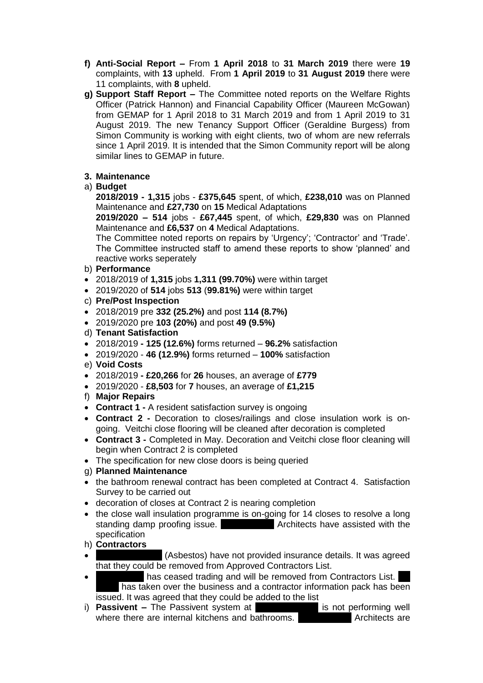- **f) Anti-Social Report –** From **1 April 2018** to **31 March 2019** there were **19** complaints, with **13** upheld. From **1 April 2019** to **31 August 2019** there were 11 complaints, with **8** upheld.
- **g) Support Staff Report –** The Committee noted reports on the Welfare Rights Officer (Patrick Hannon) and Financial Capability Officer (Maureen McGowan) from GEMAP for 1 April 2018 to 31 March 2019 and from 1 April 2019 to 31 August 2019. The new Tenancy Support Officer (Geraldine Burgess) from Simon Community is working with eight clients, two of whom are new referrals since 1 April 2019. It is intended that the Simon Community report will be along similar lines to GEMAP in future.

# **3. Maintenance**

# a) **Budget**

**2018/2019 - 1,315** jobs - **£375,645** spent, of which, **£238,010** was on Planned Maintenance and **£27,730** on **15** Medical Adaptations

**2019/2020 – 514** jobs - **£67,445** spent, of which, **£29,830** was on Planned Maintenance and **£6,537** on **4** Medical Adaptations.

The Committee noted reports on repairs by 'Urgency'; 'Contractor' and 'Trade'. The Committee instructed staff to amend these reports to show 'planned' and reactive works seperately

# b) **Performance**

- 2018/2019 of **1,315** jobs **1,311 (99.70%)** were within target
- 2019/2020 of **514** jobs **513** (**99.81%)** were within target
- c) **Pre/Post Inspection**
- 2018/2019 pre **332 (25.2%)** and post **114 (8.7%)**
- 2019/2020 pre **103 (20%)** and post **49 (9.5%)**
- d) **Tenant Satisfaction**
- 2018/2019 **- 125 (12.6%)** forms returned **96.2%** satisfaction
- 2019/2020 **46 (12.9%)** forms returned **100%** satisfaction
- e) **Void Costs**
- 2018/2019 **- £20,266** for **26** houses, an average of **£779**
- 2019/2020 **£8,503** for **7** houses, an average of **£1,215**
- f) **Major Repairs**
- **Contract 1 -** A resident satisfaction survey is ongoing
- **Contract 2 -** Decoration to closes/railings and close insulation work is ongoing. Veitchi close flooring will be cleaned after decoration is completed
- **Contract 3 -** Completed in May. Decoration and Veitchi close floor cleaning will begin when Contract 2 is completed
- The specification for new close doors is being queried

# g) **Planned Maintenance**

- the bathroom renewal contract has been completed at Contract 4. Satisfaction Survey to be carried out
- decoration of closes at Contract 2 is nearing completion
- the close wall insulation programme is on-going for 14 closes to resolve a long standing damp proofing issue. Grant Murray Architects have assisted with the specification
- h) **Contractors**
- $\blacksquare$  (Asbestos) have not provided insurance details. It was agreed that they could be removed from Approved Contractors List.
- I has ceased trading and will be removed from Contractors List. has taken over the business and a contractor information pack has been issued. It was agreed that they could be added to the list
- i) **Passivent –** The Passivent system at **Blochannish Place is not performing well** where there are internal kitchens and bathrooms. **Grant Murray Architects** are